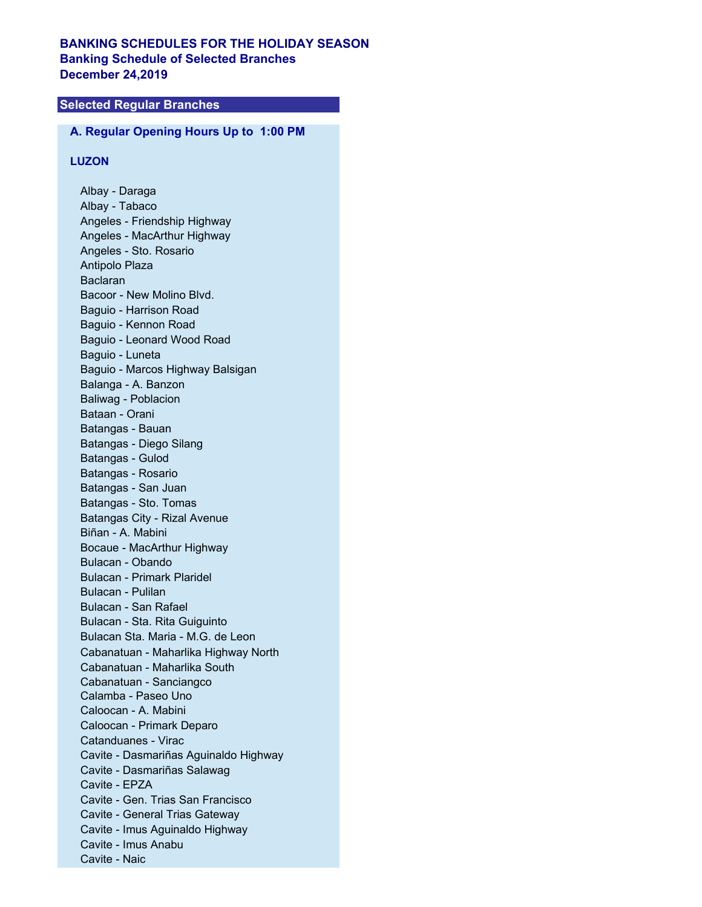# **BANKING SCHEDULES FOR THE HOLIDAY SEASON Banking Schedule of Selected Branches December 24,2019**

# **Selected Regular Branches**

# **A. Regular Opening Hours Up to 1:00 PM**

## **LUZON**

Albay - Daraga Albay - Tabaco Angeles - Friendship Highway Angeles - MacArthur Highway Angeles - Sto. Rosario Antipolo Plaza Baclaran Bacoor - New Molino Blvd. Baguio - Harrison Road Baguio - Kennon Road Baguio - Leonard Wood Road Baguio - Luneta Baguio - Marcos Highway Balsigan Balanga - A. Banzon Baliwag - Poblacion Bataan - Orani Batangas - Bauan Batangas - Diego Silang Batangas - Gulod Batangas - Rosario Batangas - San Juan Batangas - Sto. Tomas Batangas City - Rizal Avenue Biñan - A. Mabini Bocaue - MacArthur Highway Bulacan - Obando Bulacan - Primark Plaridel Bulacan - Pulilan Bulacan - San Rafael Bulacan - Sta. Rita Guiguinto Bulacan Sta. Maria - M.G. de Leon Cabanatuan - Maharlika Highway North Cabanatuan - Maharlika South Cabanatuan - Sanciangco Calamba - Paseo Uno Caloocan - A. Mabini Caloocan - Primark Deparo Catanduanes - Virac Cavite - Dasmariñas Aguinaldo Highway Cavite - Dasmariñas Salawag Cavite - EPZA Cavite - Gen. Trias San Francisco Cavite - General Trias Gateway Cavite - Imus Aguinaldo Highway Cavite - Imus Anabu Cavite - Naic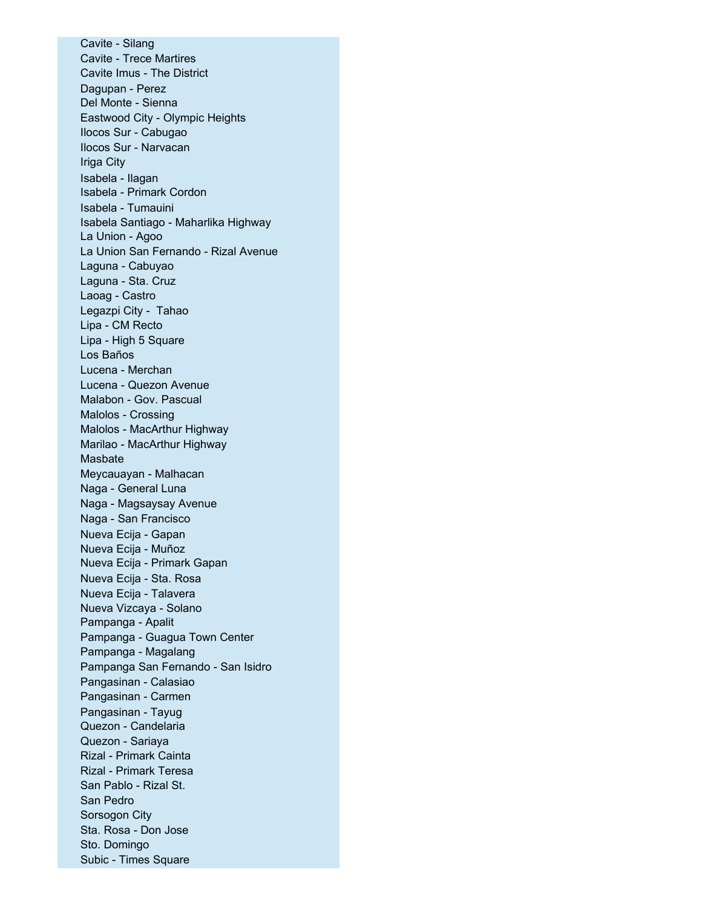Cavite - Silang Cavite - Trece Martires Cavite Imus - The District Dagupan - Perez Del Monte - Sienna Eastwood City - Olympic Heights Ilocos Sur - Cabugao Ilocos Sur - Narvacan Iriga City Isabela - Ilagan Isabela - Primark Cordon Isabela - Tumauini Isabela Santiago - Maharlika Highway La Union - Agoo La Union San Fernando - Rizal Avenue Laguna - Cabuyao Laguna - Sta. Cruz Laoag - Castro Legazpi City - Tahao Lipa - CM Recto Lipa - High 5 Square Los Baños Lucena - Merchan Lucena - Quezon Avenue Malabon - Gov. Pascual Malolos - Crossing Malolos - MacArthur Highway Marilao - MacArthur Highway Masbate Meycauayan - Malhacan Naga - General Luna Naga - Magsaysay Avenue Naga - San Francisco Nueva Ecija - Gapan Nueva Ecija - Muñoz Nueva Ecija - Primark Gapan Nueva Ecija - Sta. Rosa Nueva Ecija - Talavera Nueva Vizcaya - Solano Pampanga - Apalit Pampanga - Guagua Town Center Pampanga - Magalang Pampanga San Fernando - San Isidro Pangasinan - Calasiao Pangasinan - Carmen Pangasinan - Tayug Quezon - Candelaria Quezon - Sariaya Rizal - Primark Cainta Rizal - Primark Teresa San Pablo - Rizal St. San Pedro Sorsogon City Sta. Rosa - Don Jose Sto. Domingo Subic - Times Square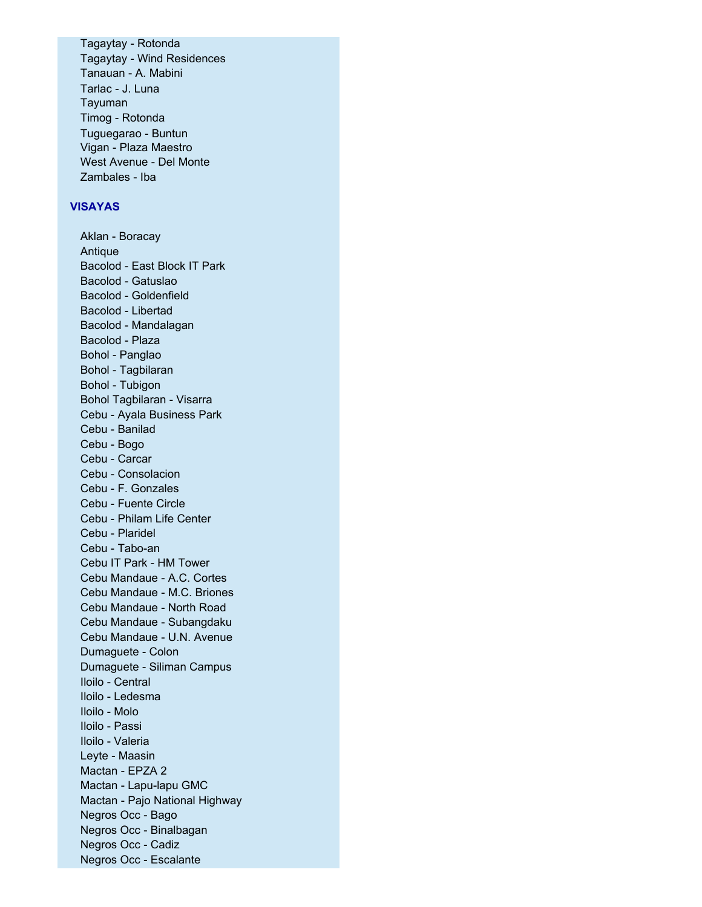Tagaytay - Rotonda Tagaytay - Wind Residences Tanauan - A. Mabini Tarlac - J. Luna Tayuman Timog - Rotonda Tuguegarao - Buntun Vigan - Plaza Maestro West Avenue - Del Monte Zambales - Iba

#### **VISAYAS**

Aklan - Boracay Antique Bacolod - East Block IT Park Bacolod - Gatuslao Bacolod - Goldenfield Bacolod - Libertad Bacolod - Mandalagan Bacolod - Plaza Bohol - Panglao Bohol - Tagbilaran Bohol - Tubigon Bohol Tagbilaran - Visarra Cebu - Ayala Business Park Cebu - Banilad Cebu - Bogo Cebu - Carcar Cebu - Consolacion Cebu - F. Gonzales Cebu - Fuente Circle Cebu - Philam Life Center Cebu - Plaridel Cebu - Tabo-an Cebu IT Park - HM Tower Cebu Mandaue - A.C. Cortes Cebu Mandaue - M.C. Briones Cebu Mandaue - North Road Cebu Mandaue - Subangdaku Cebu Mandaue - U.N. Avenue Dumaguete - Colon Dumaguete - Siliman Campus Iloilo - Central Iloilo - Ledesma Iloilo - Molo Iloilo - Passi Iloilo - Valeria Leyte - Maasin Mactan - EPZA 2 Mactan - Lapu-lapu GMC Mactan - Pajo National Highway Negros Occ - Bago Negros Occ - Binalbagan Negros Occ - Cadiz Negros Occ - Escalante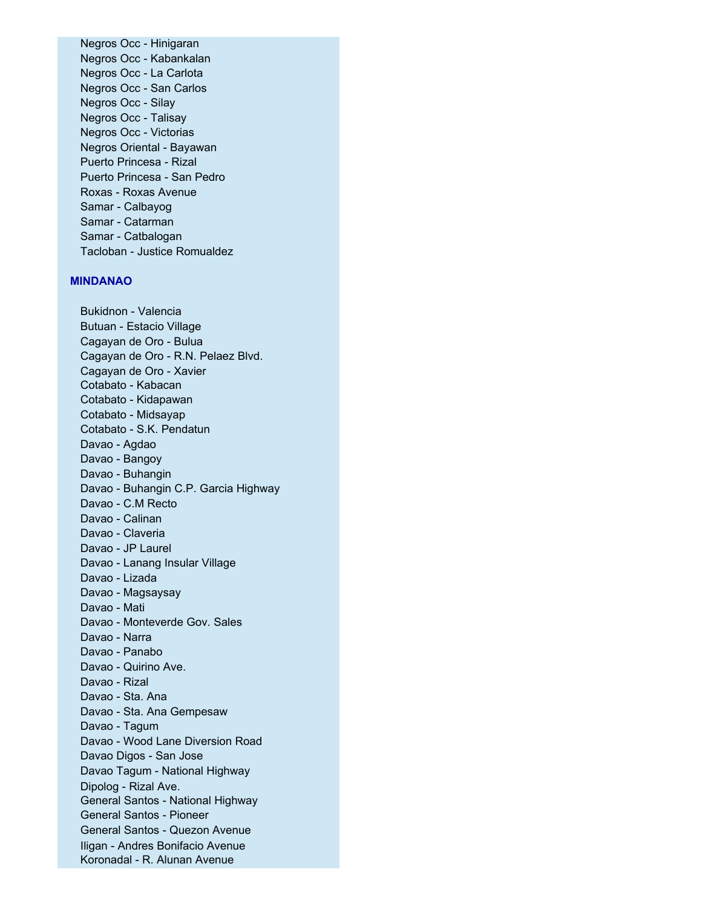Negros Occ - Hinigaran Negros Occ - Kabankalan Negros Occ - La Carlota Negros Occ - San Carlos Negros Occ - Silay Negros Occ - Talisay Negros Occ - Victorias Negros Oriental - Bayawan Puerto Princesa - Rizal Puerto Princesa - San Pedro Roxas - Roxas Avenue Samar - Calbayog Samar - Catarman Samar - Catbalogan Tacloban - Justice Romualdez

#### **MINDANAO**

Bukidnon - Valencia Butuan - Estacio Village Cagayan de Oro - Bulua Cagayan de Oro - R.N. Pelaez Blvd. Cagayan de Oro - Xavier Cotabato - Kabacan Cotabato - Kidapawan Cotabato - Midsayap Cotabato - S.K. Pendatun Davao - Agdao Davao - Bangoy Davao - Buhangin Davao - Buhangin C.P. Garcia Highway Davao - C.M Recto Davao - Calinan Davao - Claveria Davao - JP Laurel Davao - Lanang Insular Village Davao - Lizada Davao - Magsaysay Davao - Mati Davao - Monteverde Gov. Sales Davao - Narra Davao - Panabo Davao - Quirino Ave. Davao - Rizal Davao - Sta. Ana Davao - Sta. Ana Gempesaw Davao - Tagum Davao - Wood Lane Diversion Road Davao Digos - San Jose Davao Tagum - National Highway Dipolog - Rizal Ave. General Santos - National Highway General Santos - Pioneer General Santos - Quezon Avenue Iligan - Andres Bonifacio Avenue Koronadal - R. Alunan Avenue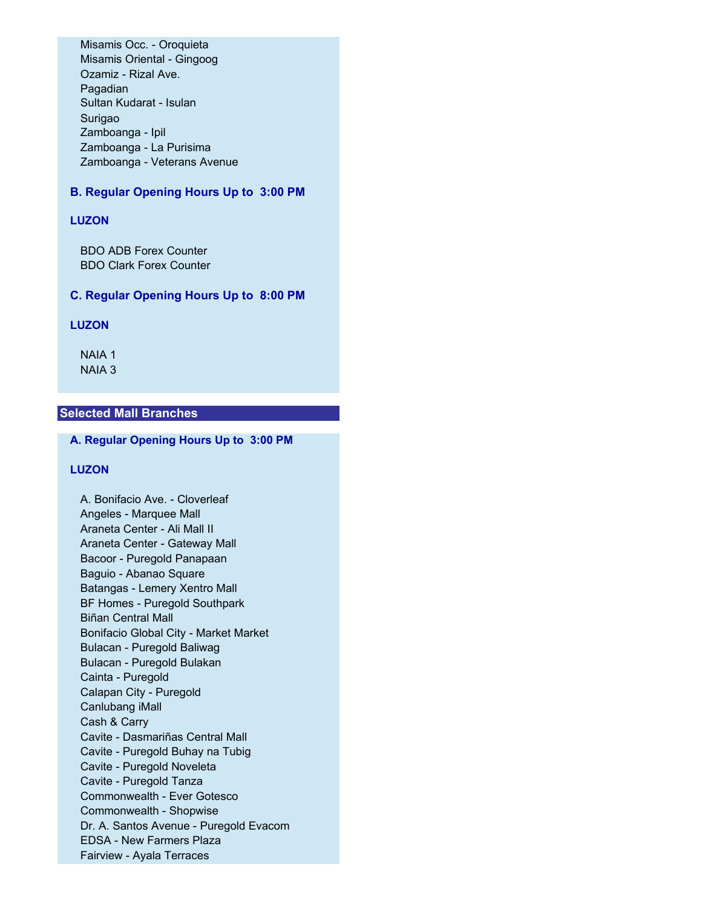Misamis Occ. - Oroquieta Misamis Oriental - Gingoog Ozamiz - Rizal Ave. Pagadian Sultan Kudarat - Isulan Surigao Zamboanga - Ipil Zamboanga - La Purisima Zamboanga - Veterans Avenue

# **B. Regular Opening Hours Up to 3:00 PM**

## **LUZON**

BDO ADB Forex Counter BDO Clark Forex Counter

### **C. Regular Opening Hours Up to 8:00 PM**

## **LUZON**

NAIA 1 NAIA 3

# **Selected Mall Branches**

**A. Regular Opening Hours Up to 3:00 PM**

#### **LUZON**

A. Bonifacio Ave. - Cloverleaf Angeles - Marquee Mall Araneta Center - Ali Mall II Araneta Center - Gateway Mall Bacoor - Puregold Panapaan Baguio - Abanao Square Batangas - Lemery Xentro Mall BF Homes - Puregold Southpark Biñan Central Mall Bonifacio Global City - Market Market Bulacan - Puregold Baliwag Bulacan - Puregold Bulakan Cainta - Puregold Calapan City - Puregold Canlubang iMall Cash & Carry Cavite - Dasmariñas Central Mall Cavite - Puregold Buhay na Tubig Cavite - Puregold Noveleta Cavite - Puregold Tanza Commonwealth - Ever Gotesco Commonwealth - Shopwise Dr. A. Santos Avenue - Puregold Evacom EDSA - New Farmers Plaza Fairview - Ayala Terraces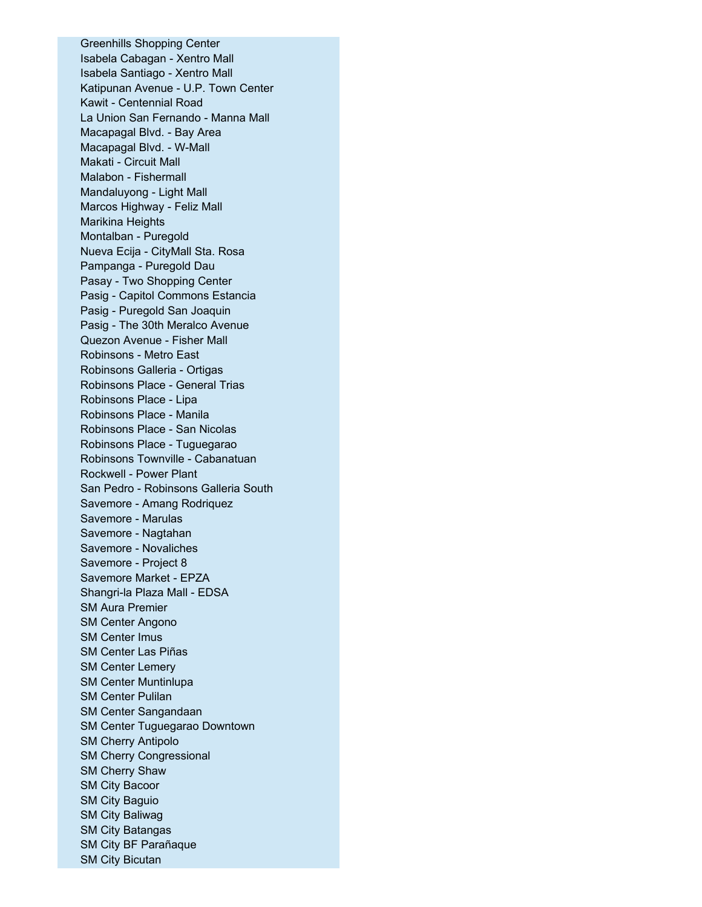Greenhills Shopping Center Isabela Cabagan - Xentro Mall Isabela Santiago - Xentro Mall Katipunan Avenue - U.P. Town Center Kawit - Centennial Road La Union San Fernando - Manna Mall Macapagal Blvd. - Bay Area Macapagal Blvd. - W-Mall Makati - Circuit Mall Malabon - Fishermall Mandaluyong - Light Mall Marcos Highway - Feliz Mall Marikina Heights Montalban - Puregold Nueva Ecija - CityMall Sta. Rosa Pampanga - Puregold Dau Pasay - Two Shopping Center Pasig - Capitol Commons Estancia Pasig - Puregold San Joaquin Pasig - The 30th Meralco Avenue Quezon Avenue - Fisher Mall Robinsons - Metro East Robinsons Galleria - Ortigas Robinsons Place - General Trias Robinsons Place - Lipa Robinsons Place - Manila Robinsons Place - San Nicolas Robinsons Place - Tuguegarao Robinsons Townville - Cabanatuan Rockwell - Power Plant San Pedro - Robinsons Galleria South Savemore - Amang Rodriquez Savemore - Marulas Savemore - Nagtahan Savemore - Novaliches Savemore - Project 8 Savemore Market - EPZA Shangri-la Plaza Mall - EDSA SM Aura Premier SM Center Angono SM Center Imus SM Center Las Piñas SM Center Lemery SM Center Muntinlupa SM Center Pulilan SM Center Sangandaan SM Center Tuguegarao Downtown SM Cherry Antipolo SM Cherry Congressional SM Cherry Shaw SM City Bacoor SM City Baguio SM City Baliwag SM City Batangas SM City BF Parañaque SM City Bicutan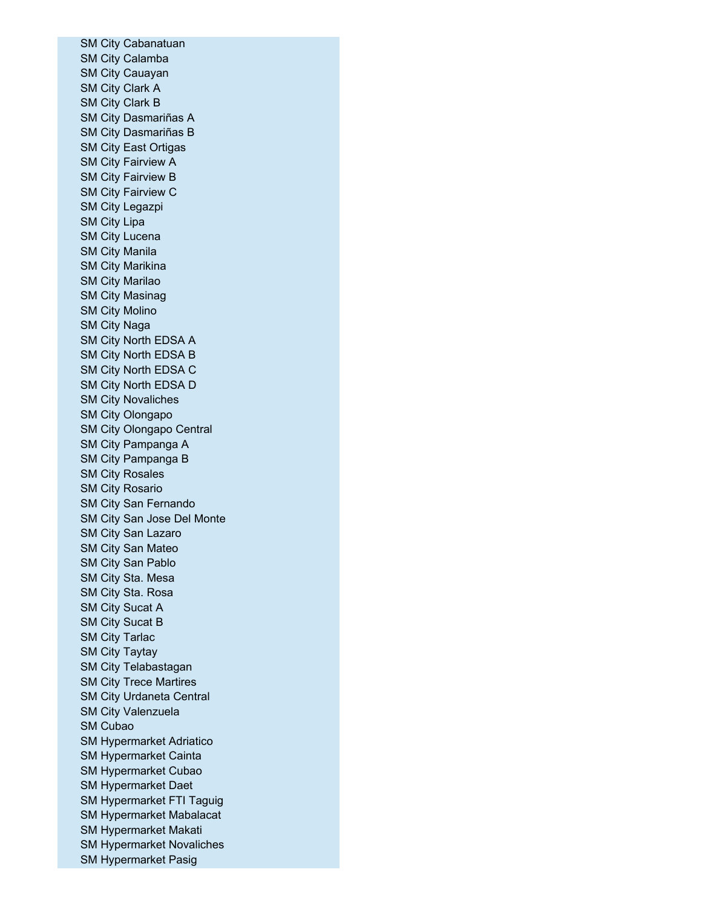SM City Cabanatuan SM City Calamba SM City Cauayan SM City Clark A SM City Clark B SM City Dasmariñas A SM City Dasmariñas B SM City East Ortigas SM City Fairview A SM City Fairview B SM City Fairview C SM City Legazpi SM City Lipa SM City Lucena SM City Manila SM City Marikina SM City Marilao SM City Masinag SM City Molino SM City Naga SM City North EDSA A SM City North EDSA B SM City North EDSA C SM City North EDSA D SM City Novaliches SM City Olongapo SM City Olongapo Central SM City Pampanga A SM City Pampanga B SM City Rosales SM City Rosario SM City San Fernando SM City San Jose Del Monte SM City San Lazaro SM City San Mateo SM City San Pablo SM City Sta. Mesa SM City Sta. Rosa SM City Sucat A SM City Sucat B SM City Tarlac SM City Taytay SM City Telabastagan SM City Trece Martires SM City Urdaneta Central SM City Valenzuela SM Cubao SM Hypermarket Adriatico SM Hypermarket Cainta SM Hypermarket Cubao SM Hypermarket Daet SM Hypermarket FTI Taguig SM Hypermarket Mabalacat SM Hypermarket Makati SM Hypermarket Novaliches SM Hypermarket Pasig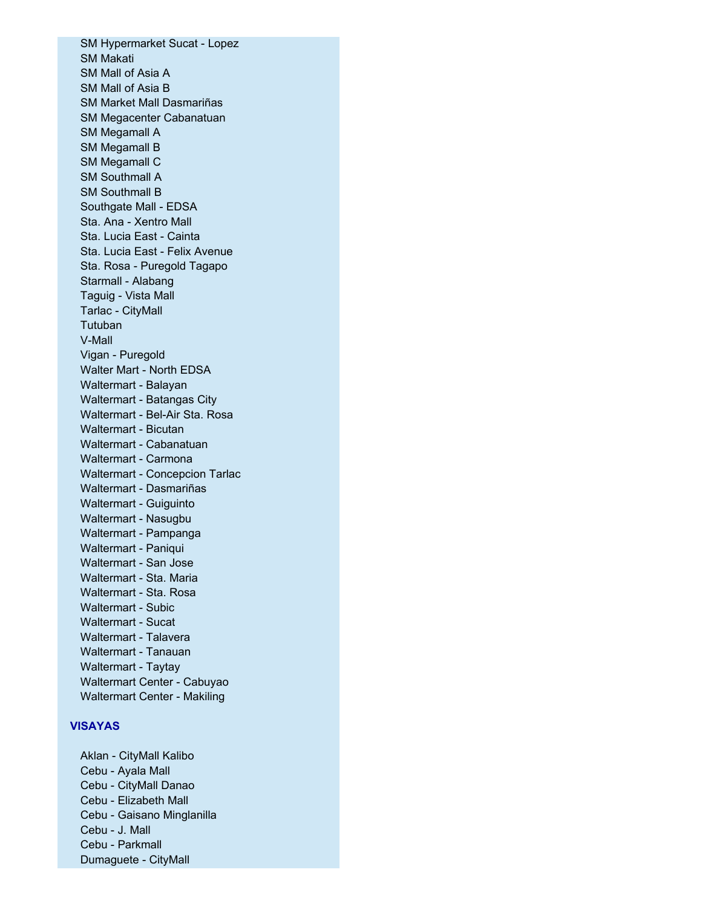SM Hypermarket Sucat - Lopez SM Makati SM Mall of Asia A SM Mall of Asia B SM Market Mall Dasmariñas SM Megacenter Cabanatuan SM Megamall A SM Megamall B SM Megamall C SM Southmall A SM Southmall B Southgate Mall - EDSA Sta. Ana - Xentro Mall Sta. Lucia East - Cainta Sta. Lucia East - Felix Avenue Sta. Rosa - Puregold Tagapo Starmall - Alabang Taguig - Vista Mall Tarlac - CityMall **Tutuban** V-Mall Vigan - Puregold Walter Mart - North EDSA Waltermart - Balayan Waltermart - Batangas City Waltermart - Bel-Air Sta. Rosa Waltermart - Bicutan Waltermart - Cabanatuan Waltermart - Carmona Waltermart - Concepcion Tarlac Waltermart - Dasmariñas Waltermart - Guiguinto Waltermart - Nasugbu Waltermart - Pampanga Waltermart - Paniqui Waltermart - San Jose Waltermart - Sta. Maria Waltermart - Sta. Rosa Waltermart - Subic Waltermart - Sucat Waltermart - Talavera Waltermart - Tanauan Waltermart - Taytay Waltermart Center - Cabuyao Waltermart Center - Makiling

## **VISAYAS**

Aklan - CityMall Kalibo Cebu - Ayala Mall Cebu - CityMall Danao Cebu - Elizabeth Mall Cebu - Gaisano Minglanilla Cebu - J. Mall Cebu - Parkmall Dumaguete - CityMall